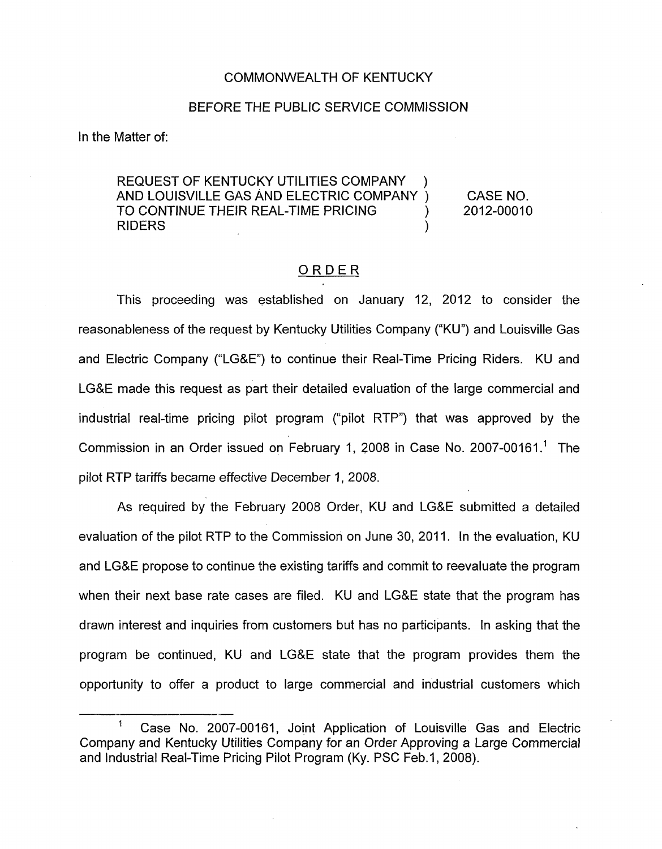## COMMONWEALTH OF KENTUCKY

## BEFORE THE PUBLIC SERVICE COMMISSION

In the Matter of:

REQUEST OF KENTUCKY UTILITIES COMPANY AND LOUISVILLE GAS AND ELECTRIC COMPANY ) CASE NO. TO CONTINUE THEIR REAL-TIME PRICING  $\qquad \qquad$  2012-00010 RIDERS (Separation of the second second second second second second second second second second second second s

## ORDER

This proceeding was established on January 12, 2012 to consider the reasonableness of the request by Kentucky Utilities Company ("KU") and Louisville Gas and Electric Company ("LGSE") to continue their Real-Time Pricing Riders. KU and LG&E made this request as part their detailed evaluation of the large commercial and industrial real-time pricing pilot program ("pilot RTP") that was approved by the Commission in an Order issued on February I, 2008 in Case No. 2007-00161.' The pilot RTP tariffs became effective December I, 2008.

As required by the February 2008 Order, KU and LG&E submitted a detailed evaluation of the pilot RTP to the Commission on June 30, 2011. In the evaluation, KU and LG&E propose to continue the existing tariffs and commit to reevaluate the program when their next base rate cases are filed. KU and LG&E state that the program has drawn interest and inquiries from customers but has no participants. In asking that the program be continued, KU and LG&E state that the program provides them the opportunity to offer a product to large commercial and industrial customers which

Case No. 2007-00161, Joint Application of Louisville Gas and Electric Company and Kentucky Utilities Company for an Order Approving a Large Commercial and Industrial Real-Time Pricing Pilot Program (Ky. PSC Feb.1, 2008).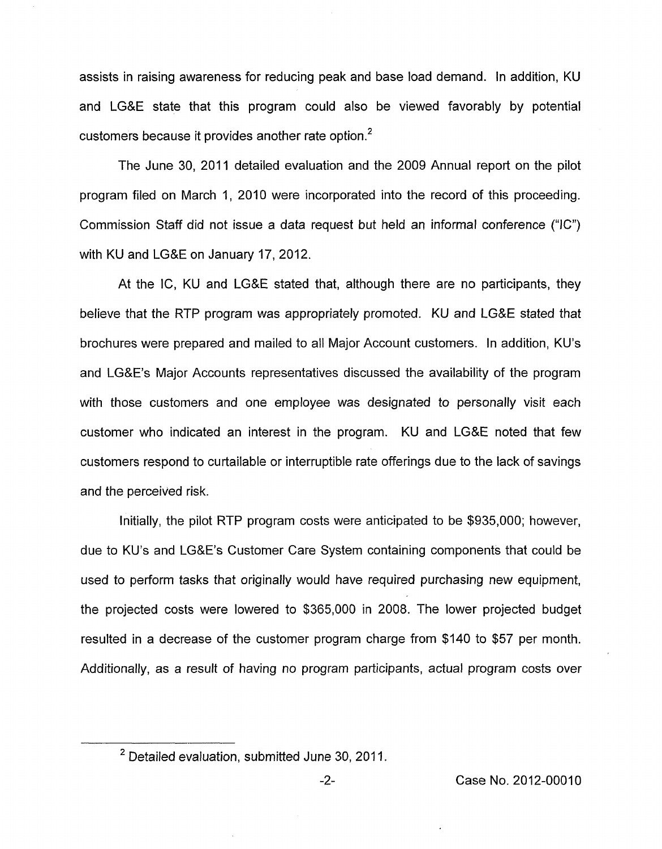assists in raising awareness for reducing peak and base load demand. In addition, KU and LG&E state that this program could also be viewed favorably by potential customers because it provides another rate option.<sup>2</sup>

The June 30, 2011 detailed evaluation and the 2009 Annual report on the pilot program filed on March 1, 2010 were incorporated into the record of this proceeding. Commission Staff did not issue a data request but held an informal conference **("IC")**  with KU and LG&E on January 17,2012.

At the **IC,** KU and LG&E stated that, although there are no participants, they believe that the RTP program was appropriately promoted. KU and LG&E stated that brochures were prepared and mailed to all Major Account customers. In addition, KU's and LG&E's Major Accounts representatives discussed the availability of the program with those customers and one employee was designated to personally visit each customer who indicated an interest in the program. KU and LG&E noted that few customers respond to curtailable or interruptible rate offerings due to the lack of savings and the perceived risk.

Initially, the pilot RTP program costs were anticipated to be \$935,000; however, due to KU's and LG&E's Customer Care System containing components that could be used to perform tasks that originally would have required purchasing new equipment, the projected costs were lowered to \$365,000 in 2008. The lower projected budget resulted in a decrease of the customer program charge from \$140 to \$57 per month. Additionally, as a result of having no program participants, actual program costs over

 $2$  Detailed evaluation, submitted June 30, 2011.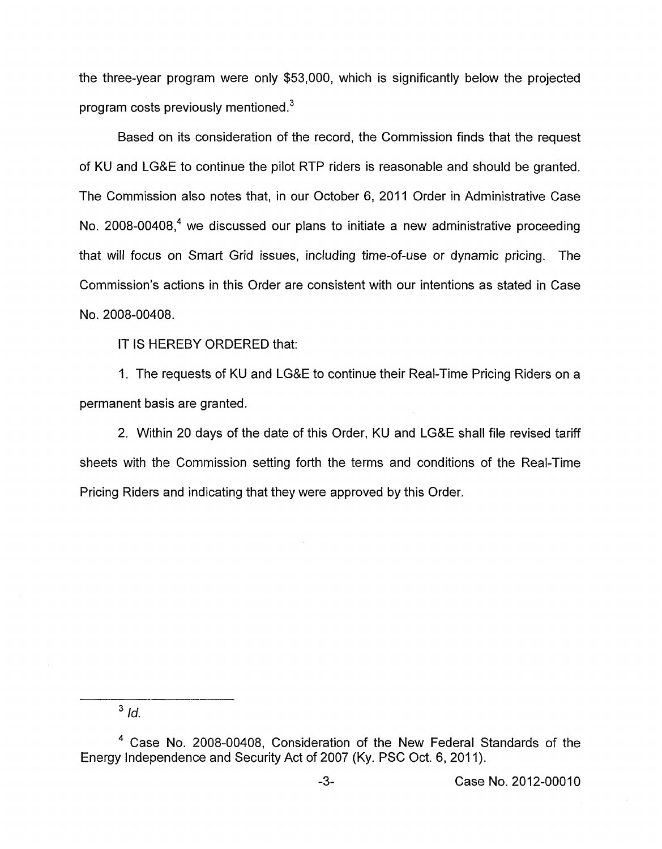the three-year program were only \$53,000, which is significantly below the projected program costs previously mentioned. $3$ 

Based on its consideration of the record, the Commission finds that the request of KU and LG&E to continue the pilot RIP riders is reasonable and should be granted. The Commission also notes that, in our October 6, 2011 Order in Administrative Case No. 2008-00408, $4$  we discussed our plans to initiate a new administrative proceeding that will focus on Smart Grid issues, including time-of-use or dynamic pricing. The Commission's actions in this Order are consistent with our intentions as stated in Case NO. 2008-00408.

IT IS HEREBY ORDERED that:

1. The requests of KU and LG&E to continue their Real-Time Pricing Riders on a permanent basis are granted.

2. Within 20 days of the date of this Order, KU and LG&E shall file revised tariff sheets with the Commission setting forth the terms and conditions of the Real-Time Pricing Riders and indicating that they were approved by this Order.

 $3$  *Id.* 

<sup>&</sup>lt;sup>4</sup> Case No. 2008-00408, Consideration of the New Federal Standards of the Energy Independence and Security Act of 2007 (Ky. PSC Oct. 6, 2011).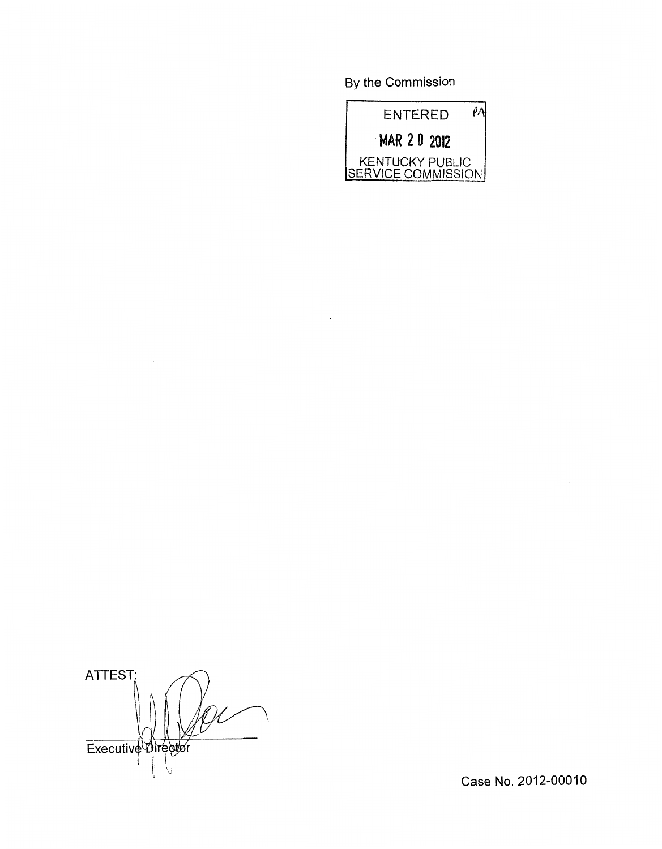By the Commission



ATTEST: Executive Director

Case No. 2012-00010